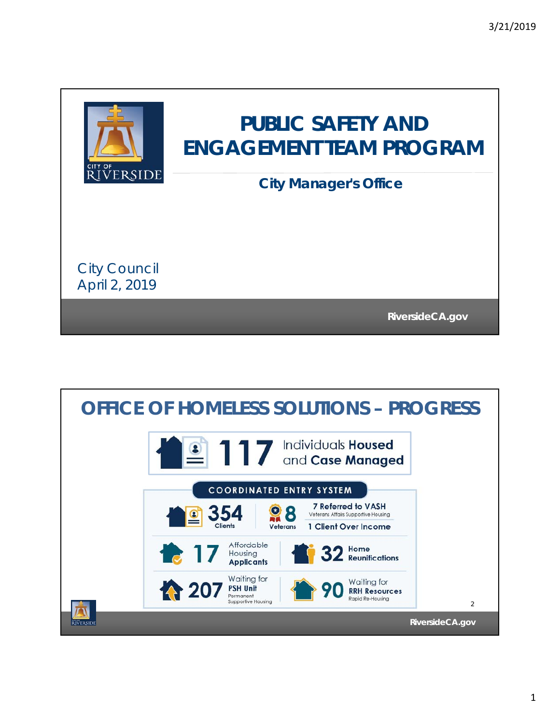

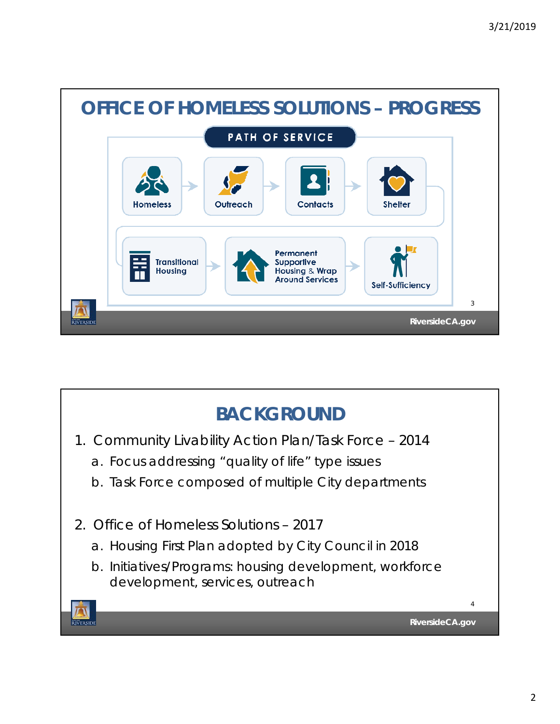

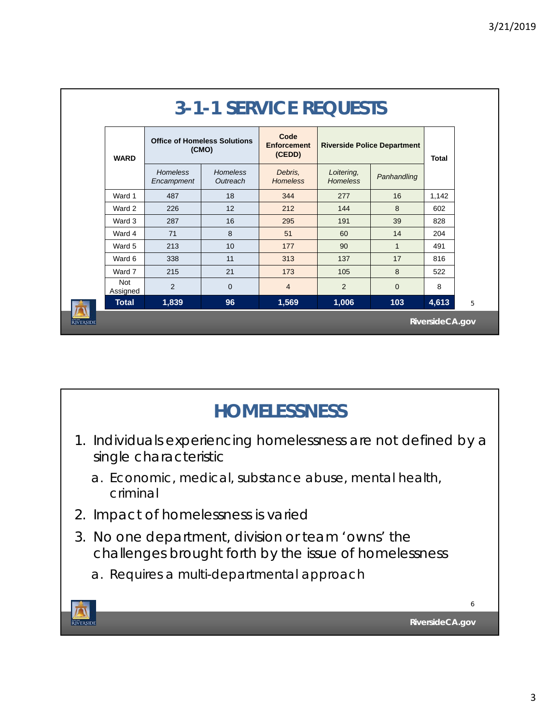| <b>3-1-1 SERVICE REQUESTS</b> |                        |                                              |                             |                                      |                                    |              |              |   |
|-------------------------------|------------------------|----------------------------------------------|-----------------------------|--------------------------------------|------------------------------------|--------------|--------------|---|
|                               | <b>WARD</b>            | <b>Office of Homeless Solutions</b><br>(CMO) |                             | Code<br><b>Enforcement</b><br>(CEDD) | <b>Riverside Police Department</b> |              | <b>Total</b> |   |
|                               |                        | Homeless<br>Encampment                       | <b>Homeless</b><br>Outreach | Debris.<br><b>Homeless</b>           | Loitering,<br><b>Homeless</b>      | Panhandling  |              |   |
|                               | Ward 1                 | 487                                          | 18                          | 344                                  | 277                                | 16           | 1,142        |   |
|                               | Ward 2                 | 226                                          | 12                          | 212                                  | 144                                | 8            | 602          |   |
|                               | Ward 3                 | 287                                          | 16                          | 295                                  | 191                                | 39           | 828          |   |
|                               | Ward 4                 | 71                                           | 8                           | 51                                   | 60                                 | 14           | 204          |   |
|                               | Ward 5                 | 213                                          | 10                          | 177                                  | 90                                 | $\mathbf{1}$ | 491          |   |
|                               | Ward 6                 | 338                                          | 11                          | 313                                  | 137                                | 17           | 816          |   |
|                               | Ward 7                 | 215                                          | 21                          | 173                                  | 105                                | 8            | 522          |   |
|                               | <b>Not</b><br>Assigned | 2                                            | $\mathbf 0$                 | $\overline{4}$                       | 2                                  | $\Omega$     | 8            |   |
|                               | <b>Total</b>           | 1,839                                        | 96                          | 1,569                                | 1,006                              | 103          | 4,613        | 5 |
| <b><i>RIVERSIDE</i></b>       | RiversideCA.gov        |                                              |                             |                                      |                                    |              |              |   |

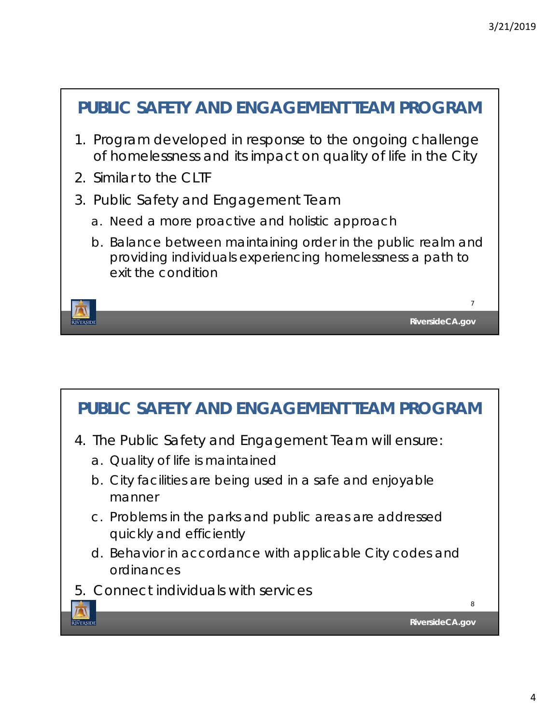

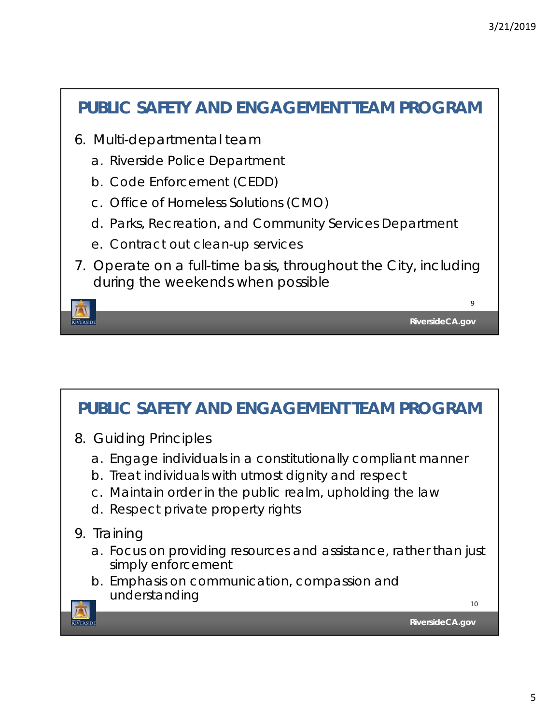## **RiversideCA.gov** 9 **PUBLIC SAFETY AND ENGAGEMENT TEAM PROGRAM** 6. Multi-departmental team a. Riverside Police Department b. Code Enforcement (CEDD) c. Office of Homeless Solutions (CMO) d. Parks, Recreation, and Community Services Department e. Contract out clean-up services 7. Operate on a full-time basis, throughout the City, including during the weekends when possible

## **PUBLIC SAFETY AND ENGAGEMENT TEAM PROGRAM**

- 8. Guiding Principles
	- a. Engage individuals in a constitutionally compliant manner
	- b. Treat individuals with utmost dignity and respect
	- c. Maintain order in the public realm, upholding the law
	- d. Respect private property rights
- 9. Training

**ETVERSIDE** 

- a. Focus on providing resources and assistance, rather than just simply enforcement
- b. Emphasis on communication, compassion and understanding

10

**RiversideCA.gov**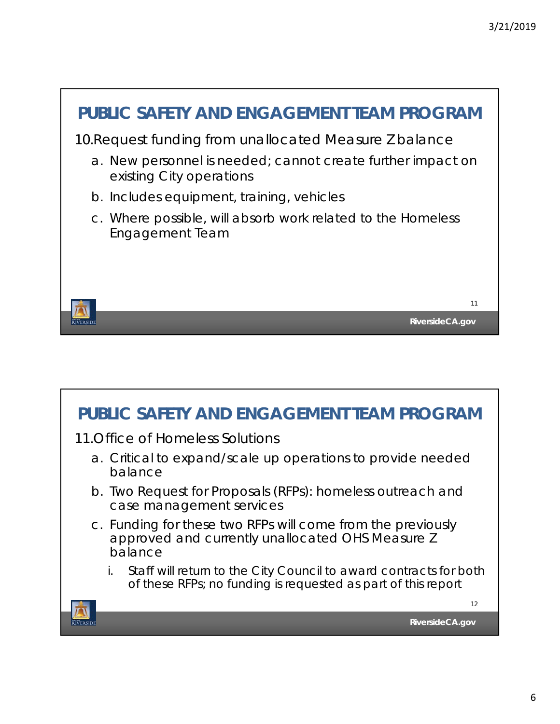

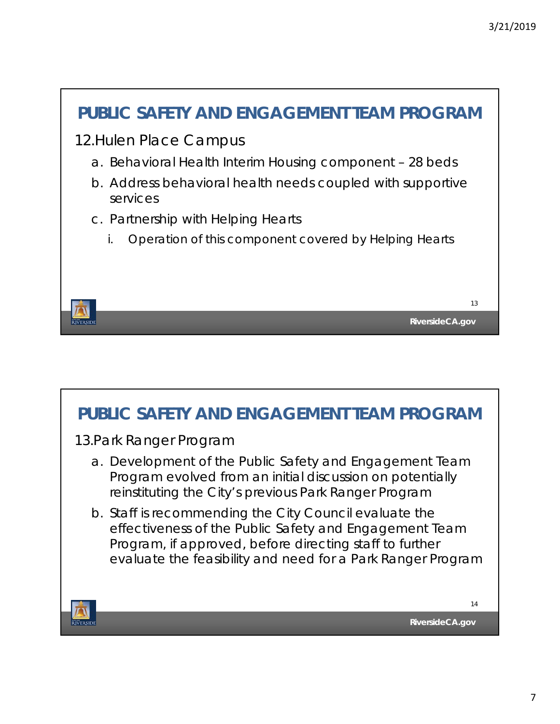

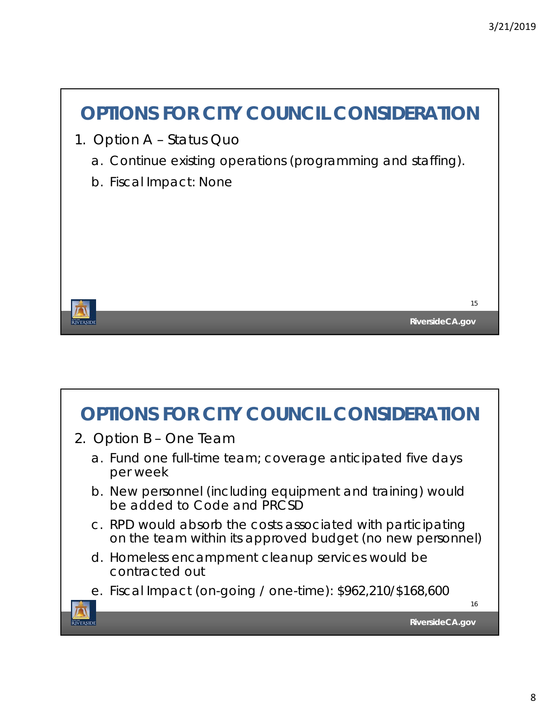

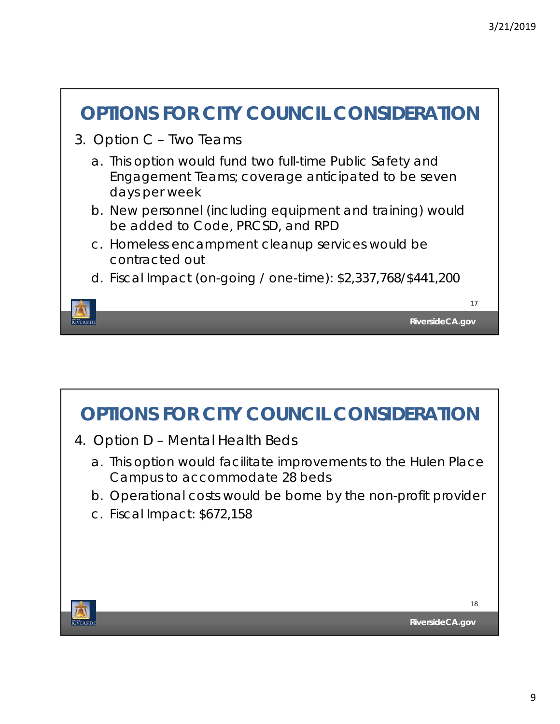



- 4. Option D Mental Health Beds
	- a. This option would facilitate improvements to the Hulen Place Campus to accommodate 28 beds
	- b. Operational costs would be borne by the non-profit provider
	- c. Fiscal Impact: \$672,158

**JVERSID** 

18

**RiversideCA.gov**